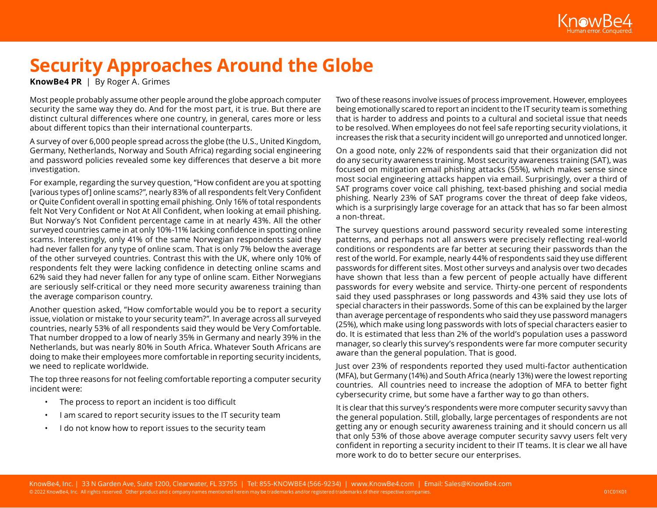

# **Security Approaches Around the Globe**

**KnowBe4 PR** | By Roger A. Grimes

Most people probably assume other people around the globe approach computer security the same way they do. And for the most part, it is true. But there are distinct cultural differences where one country, in general, cares more or less about different topics than their international counterparts.

A survey of over 6,000 people spread across the globe (the U.S., United Kingdom, Germany, Netherlands, Norway and South Africa) regarding social engineering and password policies revealed some key differences that deserve a bit more investigation.

For example, regarding the survey question, "How confident are you at spotting [various types of] online scams?", nearly 83% of all respondents felt Very Confident or Quite Confident overall in spotting email phishing. Only 16% of total respondents felt Not Very Confident or Not At All Confident, when looking at email phishing. But Norway's Not Confident percentage came in at nearly 43%. All the other surveyed countries came in at only 10%-11% lacking confidence in spotting online scams. Interestingly, only 41% of the same Norwegian respondents said they had never fallen for any type of online scam. That is only 7% below the average of the other surveyed countries. Contrast this with the UK, where only 10% of respondents felt they were lacking confidence in detecting online scams and 62% said they had never fallen for any type of online scam. Either Norwegians are seriously self-critical or they need more security awareness training than the average comparison country.

Another question asked, "How comfortable would you be to report a security issue, violation or mistake to your security team?". In average across all surveyed countries, nearly 53% of all respondents said they would be Very Comfortable. That number dropped to a low of nearly 35% in Germany and nearly 39% in the Netherlands, but was nearly 80% in South Africa. Whatever South Africans are doing to make their employees more comfortable in reporting security incidents, we need to replicate worldwide.

The top three reasons for not feeling comfortable reporting a computer security incident were:

- The process to report an incident is too difficult
- I am scared to report security issues to the IT security team
- I do not know how to report issues to the security team

Two of these reasons involve issues of process improvement. However, employees being emotionally scared to report an incident to the IT security team is something that is harder to address and points to a cultural and societal issue that needs to be resolved. When employees do not feel safe reporting security violations, it increases the risk that a security incident will go unreported and unnoticed longer.

On a good note, only 22% of respondents said that their organization did not do any security awareness training. Most security awareness training (SAT), was focused on mitigation email phishing attacks (55%), which makes sense since most social engineering attacks happen via email. Surprisingly, over a third of SAT programs cover voice call phishing, text-based phishing and social media phishing. Nearly 23% of SAT programs cover the threat of deep fake videos, which is a surprisingly large coverage for an attack that has so far been almost a non-threat.

The survey questions around password security revealed some interesting patterns, and perhaps not all answers were precisely reflecting real-world conditions or respondents are far better at securing their passwords than the rest of the world. For example, nearly 44% of respondents said they use different passwords for different sites. Most other surveys and analysis over two decades have shown that less than a few percent of people actually have different passwords for every website and service. Thirty-one percent of respondents said they used passphrases or long passwords and 43% said they use lots of special characters in their passwords. Some of this can be explained by the larger than average percentage of respondents who said they use password managers (25%), which make using long passwords with lots of special characters easier to do. It is estimated that less than 2% of the world's population uses a password manager, so clearly this survey's respondents were far more computer security aware than the general population. That is good.

Just over 23% of respondents reported they used multi-factor authentication (MFA), but Germany (14%) and South Africa (nearly 13%) were the lowest reporting countries. All countries need to increase the adoption of MFA to better fight cybersecurity crime, but some have a farther way to go than others.

It is clear that this survey's respondents were more computer security savvy than the general population. Still, globally, large percentages of respondents are not getting any or enough security awareness training and it should concern us all that only 53% of those above average computer security savvy users felt very confident in reporting a security incident to their IT teams. It is clear we all have more work to do to better secure our enterprises.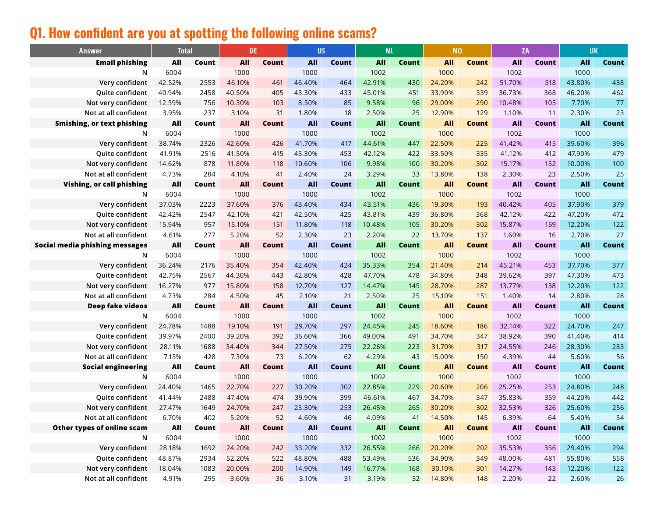# **Q1. How confident are you at spotting the following online scams?**

| <b>Answer</b>                     | <b>Total</b> |       | <b>DE</b>  |       | <b>US</b> |       | <b>NL</b>  |       | <b>NO</b>  |              | ZA         |       | <b>UK</b>  |       |
|-----------------------------------|--------------|-------|------------|-------|-----------|-------|------------|-------|------------|--------------|------------|-------|------------|-------|
| <b>Email phishing</b>             | All          | Count | All        | Count | All       | Count | All        | Count | <b>All</b> | Count        | All        | Count | <b>All</b> | Count |
| N                                 | 6004         |       | 1000       |       | 1000      |       | 1002       |       | 1000       |              | 1002       |       | 1000       |       |
| Very confident                    | 42.52%       | 2553  | 46.10%     | 461   | 46.40%    | 464   | 42.91%     | 430   | 24.20%     | 242          | 51.70%     | 518   | 43.80%     | 438   |
| Quite confident                   | 40.94%       | 2458  | 40.50%     | 405   | 43.30%    | 433   | 45.01%     | 451   | 33.90%     | 339          | 36.73%     | 368   | 46.20%     | 462   |
| Not very confident                | 12.59%       | 756   | 10.30%     | 103   | 8.50%     | 85    | 9.58%      | 96    | 29.00%     | 290          | 10.48%     | 105   | 7.70%      | 77    |
| Not at all confident              | 3.95%        | 237   | 3.10%      | 31    | 1.80%     | 18    | 2.50%      | 25    | 12.90%     | 129          | 1.10%      | 11    | 2.30%      | 23    |
| <b>Smishing, or text phishing</b> | All          | Count | All        | Count | All       | Count | <b>All</b> | Count | <b>All</b> | <b>Count</b> | <b>All</b> | Count | <b>All</b> | Count |
| N                                 | 6004         |       | 1000       |       | 1000      |       | 1002       |       | 1000       |              | 1002       |       | 1000       |       |
| Very confident                    | 38.74%       | 2326  | 42.60%     | 426   | 41.70%    | 417   | 44.61%     | 447   | 22.50%     | 225          | 41.42%     | 415   | 39.60%     | 396   |
| Quite confident                   | 41.91%       | 2516  | 41.50%     | 415   | 45.30%    | 453   | 42.12%     | 422   | 33.50%     | 335          | 41.12%     | 412   | 47.90%     | 479   |
| Not very confident                | 14.62%       | 878   | 11.80%     | 118   | 10.60%    | 106   | 9.98%      | 100   | 30.20%     | 302          | 15.17%     | 152   | 10.00%     | 100   |
| Not at all confident              | 4.73%        | 284   | 4.10%      | 41    | 2.40%     | 24    | 3.29%      | 33    | 13.80%     | 138          | 2.30%      | 23    | 2.50%      | 25    |
| Vishing, or call phishing         | All          | Count | <b>All</b> | Count | All       | Count | All        | Count | All        | Count        | <b>All</b> | Count | <b>All</b> | Count |
| N                                 | 6004         |       | 1000       |       | 1000      |       | 1002       |       | 1000       |              | 1002       |       | 1000       |       |
| Very confident                    | 37.03%       | 2223  | 37.60%     | 376   | 43.40%    | 434   | 43.51%     | 436   | 19.30%     | 193          | 40.42%     | 405   | 37.90%     | 379   |
| Quite confident                   | 42.42%       | 2547  | 42.10%     | 421   | 42.50%    | 425   | 43.81%     | 439   | 36.80%     | 368          | 42.12%     | 422   | 47.20%     | 472   |
| Not very confident                | 15.94%       | 957   | 15.10%     | 151   | 11.80%    | 118   | 10.48%     | 105   | 30.20%     | 302          | 15.87%     | 159   | 12.20%     | 122   |
| Not at all confident              | 4.61%        | 277   | 5.20%      | 52    | 2.30%     | 23    | 2.20%      | 22    | 13.70%     | 137          | 1.60%      | 16    | 2.70%      | 27    |
| Social media phishing messages    | All          | Count | All        | Count | All       | Count | All        | Count | All        | Count        | <b>All</b> | Count | <b>All</b> | Count |
| N                                 | 6004         |       | 1000       |       | 1000      |       | 1002       |       | 1000       |              | 1002       |       | 1000       |       |
| Very confident                    | 36.24%       | 2176  | 35.40%     | 354   | 42.40%    | 424   | 35.33%     | 354   | 21.40%     | 214          | 45.21%     | 453   | 37.70%     | 377   |
| Quite confident                   | 42.75%       | 2567  | 44.30%     | 443   | 42.80%    | 428   | 47.70%     | 478   | 34.80%     | 348          | 39.62%     | 397   | 47.30%     | 473   |
| Not very confident                | 16.27%       | 977   | 15.80%     | 158   | 12.70%    | 127   | 14.47%     | 145   | 28.70%     | 287          | 13.77%     | 138   | 12.20%     | 122   |
| Not at all confident              | 4.73%        | 284   | 4.50%      | 45    | 2.10%     | 21    | 2.50%      | 25    | 15.10%     | 151          | 1.40%      | 14    | 2.80%      | 28    |
| Deep fake videos                  | All          | Count | All        | Count | All       | Count | All        | Count | All        | Count        | All        | Count | <b>All</b> | Count |
| N                                 | 6004         |       | 1000       |       | 1000      |       | 1002       |       | 1000       |              | 1002       |       | 1000       |       |
| Very confident                    | 24.78%       | 1488  | 19.10%     | 191   | 29.70%    | 297   | 24.45%     | 245   | 18.60%     | 186          | 32.14%     | 322   | 24.70%     | 247   |
| Quite confident                   | 39.97%       | 2400  | 39.20%     | 392   | 36.60%    | 366   | 49.00%     | 491   | 34.70%     | 347          | 38.92%     | 390   | 41.40%     | 414   |
| Not very confident                | 28.11%       | 1688  | 34.40%     | 344   | 27.50%    | 275   | 22.26%     | 223   | 31.70%     | 317          | 24.55%     | 246   | 28.30%     | 283   |
| Not at all confident              | 7.13%        | 428   | 7.30%      | 73    | 6.20%     | 62    | 4.29%      | 43    | 15.00%     | 150          | 4.39%      | 44    | 5.60%      | 56    |
| <b>Social engineering</b>         | All          | Count | All        | Count | All       | Count | All        | Count | <b>All</b> | <b>Count</b> | <b>All</b> | Count | <b>All</b> | Count |
| N                                 | 6004         |       | 1000       |       | 1000      |       | 1002       |       | 1000       |              | 1002       |       | 1000       |       |
| Very confident                    | 24.40%       | 1465  | 22.70%     | 227   | 30.20%    | 302   | 22.85%     | 229   | 20.60%     | 206          | 25.25%     | 253   | 24.80%     | 248   |
| Quite confident                   | 41.44%       | 2488  | 47.40%     | 474   | 39.90%    | 399   | 46.61%     | 467   | 34.70%     | 347          | 35.83%     | 359   | 44.20%     | 442   |
| Not very confident                | 27.47%       | 1649  | 24.70%     | 247   | 25.30%    | 253   | 26.45%     | 265   | 30.20%     | 302          | 32.53%     | 326   | 25.60%     | 256   |
| Not at all confident              | 6.70%        | 402   | 5.20%      | 52    | 4.60%     | 46    | 4.09%      | 41    | 14.50%     | 145          | 6.39%      | 64    | 5.40%      | 54    |
| Other types of online scam        | All          | Count | All        | Count | All       | Count | All        | Count | All        | <b>Count</b> | All        | Count | <b>All</b> | Count |
| N                                 | 6004         |       | 1000       |       | 1000      |       | 1002       |       | 1000       |              | 1002       |       | 1000       |       |
| Very confident                    | 28.18%       | 1692  | 24.20%     | 242   | 33.20%    | 332   | 26.55%     | 266   | 20.20%     | 202          | 35.53%     | 356   | 29.40%     | 294   |
| Quite confident                   | 48.87%       | 2934  | 52.20%     | 522   | 48.80%    | 488   | 53.49%     | 536   | 34.90%     | 349          | 48.00%     | 481   | 55.80%     | 558   |
| Not very confident                | 18.04%       | 1083  | 20.00%     | 200   | 14.90%    | 149   | 16.77%     | 168   | 30.10%     | 301          | 14.27%     | 143   | 12.20%     | $122$ |
| Not at all confident              | 4.91%        | 295   | 3.60%      | 36    | 3.10%     | 31    | 3.19%      | 32    | 14.80%     | 148          | 2.20%      | 22    | 2.60%      | 26    |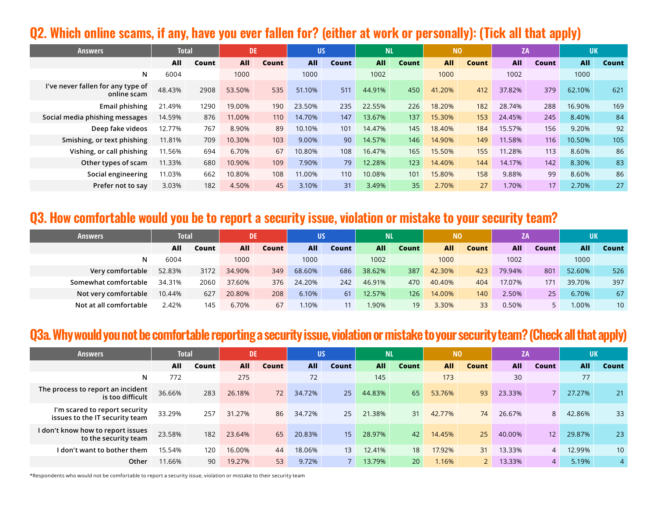#### **Q2. Which online scams, if any, have you ever fallen for? (either at work or personally): (Tick all that apply)**

| <b>Answers</b>                                   | <b>Total</b> |       | <b>DE</b>  |       | <b>US</b>  |       | <b>NL</b>  |       | N <sub>0</sub> |              | <b>ZA</b>  |       | <b>UK</b>  |       |
|--------------------------------------------------|--------------|-------|------------|-------|------------|-------|------------|-------|----------------|--------------|------------|-------|------------|-------|
|                                                  | All          | Count | <b>All</b> | Count | <b>All</b> | Count | <b>All</b> | Count | <b>All</b>     | <b>Count</b> | <b>All</b> | Count | <b>All</b> | Count |
| N                                                | 6004         |       | 1000       |       | 1000       |       | 1002       |       | 1000           |              | 1002       |       | 1000       |       |
| I've never fallen for any type of<br>online scam | 48.43%       | 2908  | 53.50%     | 535   | 51.10%     | 511   | 44.91%     | 450   | 41.20%         | 412          | 37.82%     | 379   | 62.10%     | 621   |
| <b>Email phishing</b>                            | 21.49%       | 1290  | 19.00%     | 190   | 23.50%     | 235   | 22.55%     | 226   | 18.20%         | 182          | 28.74%     | 288   | 16.90%     | 169   |
| Social media phishing messages                   | 14.59%       | 876   | 11.00%     | 110   | 14.70%     | 147   | 13.67%     | 137   | 15.30%         | 153          | 24.45%     | 245   | 8.40%      | 84    |
| Deep fake videos                                 | 12.77%       | 767   | 8.90%      | 89    | 10.10%     | 101   | 14.47%     | 145   | 18.40%         | 184          | 15.57%     | 156   | 9.20%      | 92    |
| Smishing, or text phishing                       | 11.81%       | 709   | 10.30%     | 103   | 9.00%      | 90    | 14.57%     | 146   | 14.90%         | 149          | 11.58%     | 116   | 10.50%     | 105   |
| Vishing, or call phishing                        | 11.56%       | 694   | 6.70%      | 67    | 10.80%     | 108   | 16.47%     | 165   | 15.50%         | 155          | 11.28%     | 113   | 8.60%      | 86    |
| Other types of scam                              | 11.33%       | 680   | 10.90%     | 109   | 7.90%      | 79    | 12.28%     | 123   | 14.40%         | 144          | 14.17%     | 142   | 8.30%      | 83    |
| Social engineering                               | 11.03%       | 662   | 10.80%     | 108   | 11.00%     | 110   | 10.08%     | 101   | 15.80%         | 158          | 9.88%      | 99    | 8.60%      | 86    |
| Prefer not to say                                | 3.03%        | 182   | 4.50%      | 45    | 3.10%      | 31    | 3.49%      | 35    | 2.70%          | 27           | 1.70%      | 17    | 2.70%      | 27    |

#### **Q3. How comfortable would you be to report a security issue, violation or mistake to your security team?**

| <b>Answers</b>         | <b>Total</b> |       | <b>DE</b>  |       | <b>US</b>  |       | NL         |       | N <sub>0</sub> |              | ΖA         |       | <b>UK</b> |                 |
|------------------------|--------------|-------|------------|-------|------------|-------|------------|-------|----------------|--------------|------------|-------|-----------|-----------------|
|                        | All          | Count | <b>All</b> | Count | <b>All</b> | Count | <b>All</b> | Count | <b>All</b>     | <b>Count</b> | <b>AII</b> | Count | All       | Count           |
| N                      | 6004         |       | 1000       |       | 1000       |       | 1002       |       | 1000           |              | 1002       |       | 1000      |                 |
| Very comfortable       | 52.83%       | 3172  | 34.90%     | 349   | 68.60%     | 686   | 38.62%     | 387   | 42.30%         | 423          | 79.94%     | 801   | 52.60%    | 526             |
| Somewhat comfortable   | 34.31%       | 2060  | 37.60%     | 376   | 24.20%     | 242   | 46.91%     | 470   | 40.40%         | 404          | 17.07%     | 171   | 39.70%    | 397             |
| Not very comfortable   | 10.44%       | 627   | 20.80%     | 208   | 6.10%      | 61    | 12.57%     | 126   | 14.00%         | 140          | 2.50%      | 25    | 6.70%     | 67              |
| Not at all comfortable | 2.42%        | 145   | 6.70%      | 67    | .10%       |       | .90%       | 19    | 3.30%          | 33           | 0.50%      |       | $.00\%$   | 10 <sup>°</sup> |

#### **Q3a. Why would you not be comfortable reporting a security issue, violation or mistake to your security team? (Check all that apply)**

| <b>Answers</b>                                                  | <b>Total</b> |       | <b>DE</b>  |       | <b>US</b> |       | NL         |       | <b>NO</b>  |              | <b>ZA</b>  |              | UK         |                 |
|-----------------------------------------------------------------|--------------|-------|------------|-------|-----------|-------|------------|-------|------------|--------------|------------|--------------|------------|-----------------|
|                                                                 | All          | Count | <b>All</b> | Count | All       | Count | <b>All</b> | Count | <b>All</b> | <b>Count</b> | <b>All</b> | <b>Count</b> | <b>All</b> | Count           |
| N                                                               | 772          |       | 275        |       | 72        |       | 145        |       | 173        |              | 30         |              | 77         |                 |
| The process to report an incident<br>is too difficult           | 36.66%       | 283   | 26.18%     | 72    | 34.72%    | 25    | 44.83%     | 65    | 53.76%     | 93           | 23.33%     |              | 27.27%     | 21              |
| I'm scared to report security<br>issues to the IT security team | 33.29%       | 257   | 31.27%     | 86    | 34.72%    | 25    | 21.38%     | 31    | 42.77%     | 74           | 26.67%     | 8            | 42.86%     | 33              |
| I don't know how to report issues<br>to the security team       | 23.58%       | 182   | 23.64%     | 65    | 20.83%    | 15    | 28.97%     | 42    | 14.45%     | 25           | 40.00%     | 12           | 29.87%     | 23              |
| l don't want to bother them                                     | 15.54%       | 120   | 16.00%     | 44    | 18.06%    | 13    | 12.41%     | 18    | 17.92%     | 31           | 13.33%     | 4            | 12.99%     | 10 <sup>1</sup> |
| Other                                                           | 11.66%       | 90    | 19.27%     | 53    | 9.72%     |       | 13.79%     | 20    | 1.16%      |              | 13.33%     |              | 5.19%      | $\overline{4}$  |

\*Respondents who would not be comfortable to report a security issue, violation or mistake to their security team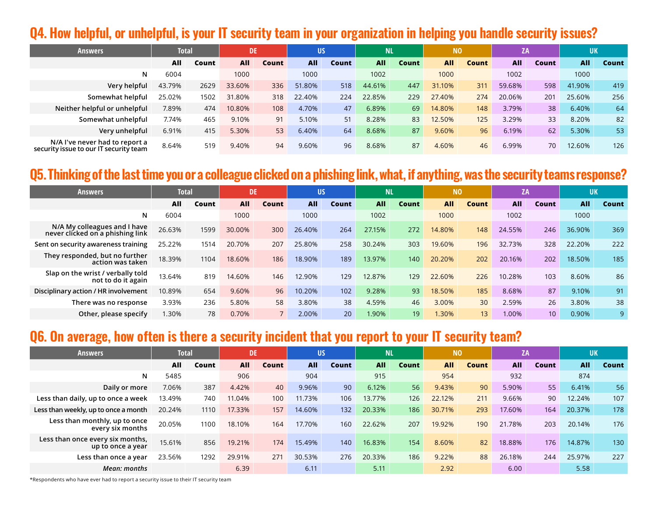#### **Q4. How helpful, or unhelpful, is your IT security team in your organization in helping you handle security issues?**

| <b>Answers</b>                                                           | Total  |       | DE         |       | <b>US</b>  |              | МL     |       | <b>NO</b>  |              | ZA         |              | <b>UK</b>  |       |
|--------------------------------------------------------------------------|--------|-------|------------|-------|------------|--------------|--------|-------|------------|--------------|------------|--------------|------------|-------|
|                                                                          | All    | Count | <b>All</b> | Count | <b>All</b> | <b>Count</b> | All    | Count | <b>All</b> | <b>Count</b> | <b>All</b> | <b>Count</b> | <b>All</b> | Count |
| N                                                                        | 6004   |       | 1000       |       | 1000       |              | 1002   |       | 1000       |              | 1002       |              | 1000       |       |
| Very helpful                                                             | 43.79% | 2629  | 33.60%     | 336   | 51.80%     | 518          | 44.61% | 447   | 31.10%     | 311          | 59.68%     | 598          | 41.90%     | 419   |
| Somewhat helpful                                                         | 25.02% | 1502  | 31.80%     | 318   | 22.40%     | 224          | 22.85% | 229   | 27.40%     | 274          | 20.06%     | 201          | 25.60%     | 256   |
| Neither helpful or unhelpful                                             | 7.89%  | 474   | 10.80%     | 108   | 4.70%      | 47           | 6.89%  | 69    | 14.80%     | 148          | 3.79%      | 38           | 6.40%      | 64    |
| Somewhat unhelpful                                                       | 7.74%  | 465   | 9.10%      | 91    | 5.10%      | 51           | 8.28%  | 83    | 12.50%     | 125          | 3.29%      | 33           | 8.20%      | 82    |
| Very unhelpful                                                           | 6.91%  | 415   | 5.30%      | 53    | 6.40%      | 64           | 8.68%  | 87    | 9.60%      | 96           | 6.19%      | 62           | 5.30%      | 53    |
| N/A I've never had to report a<br>security issue to our IT security team | 8.64%  | 519   | 9.40%      | 94    | 9.60%      | 96           | 8.68%  | 87    | 4.60%      | 46           | 6.99%      | 70           | 12.60%     | 126   |

#### **Q5. Thinking of the last time you or a colleague clicked on a phishing link, what, if anything, was the security teams response?**

| <b>Answers</b>                                                   | <b>Total</b> |       | DE         |       | <b>US</b>  |              | N <sub>L</sub> |       | N <sub>0</sub> |              | <b>ZA</b>  |       | <b>UK</b> |       |
|------------------------------------------------------------------|--------------|-------|------------|-------|------------|--------------|----------------|-------|----------------|--------------|------------|-------|-----------|-------|
|                                                                  | All          | Count | <b>All</b> | Count | <b>All</b> | <b>Count</b> | <b>All</b>     | Count | All            | <b>Count</b> | <b>All</b> | Count | All       | Count |
| N                                                                | 6004         |       | 1000       |       | 1000       |              | 1002           |       | 1000           |              | 1002       |       | 1000      |       |
| N/A My colleagues and I have<br>never clicked on a phishing link | 26.63%       | 1599  | 30.00%     | 300   | 26.40%     | 264          | 27.15%         | 272   | 14.80%         | 148          | 24.55%     | 246   | 36.90%    | 369   |
| Sent on security awareness training                              | 25.22%       | 1514  | 20.70%     | 207   | 25.80%     | 258          | 30.24%         | 303   | 19.60%         | 196          | 32.73%     | 328   | 22.20%    | 222   |
| They responded, but no further<br>action was taken               | 18.39%       | 1104  | 18.60%     | 186   | 18.90%     | 189          | 13.97%         | 140   | 20.20%         | 202          | 20.16%     | 202   | 18.50%    | 185   |
| Slap on the wrist / verbally told<br>not to do it again          | 13.64%       | 819   | 14.60%     | 146   | 12.90%     | 129          | 12.87%         | 129   | 22.60%         | 226          | 10.28%     | 103   | 8.60%     | 86    |
| Disciplinary action / HR involvement                             | 10.89%       | 654   | 9.60%      | 96    | 10.20%     | 102          | 9.28%          | 93    | 18.50%         | 185          | 8.68%      | 87    | 9.10%     | 91    |
| There was no response                                            | 3.93%        | 236   | 5.80%      | 58    | 3.80%      | 38           | 4.59%          | 46    | 3.00%          | 30           | 2.59%      | 26    | 3.80%     | 38    |
| Other, please specify                                            | .30%         | 78    | 0.70%      |       | 2.00%      | 20           | 1.90%          | 19    | 1.30%          | 13           | 1.00%      | 10    | 0.90%     | 9     |

## **Q6. On average, how often is there a security incident that you report to your IT security team?**

| <b>Answers</b>                                        | <b>Total</b> |       | <b>DE</b>  |       | US         |              | <b>NL</b>  |       | N <sub>0</sub> |              | ΖA     |       | <b>UK</b>  |       |
|-------------------------------------------------------|--------------|-------|------------|-------|------------|--------------|------------|-------|----------------|--------------|--------|-------|------------|-------|
|                                                       | AII          | Count | <b>All</b> | Count | <b>All</b> | <b>Count</b> | <b>All</b> | Count | <b>All</b>     | <b>Count</b> | All    | Count | <b>All</b> | Count |
| N                                                     | 5485         |       | 906        |       | 904        |              | 915        |       | 954            |              | 932    |       | 874        |       |
| Daily or more                                         | 7.06%        | 387   | 4.42%      | 40    | 9.96%      | 90           | 6.12%      | 56    | 9.43%          | 90           | 5.90%  | 55    | 6.41%      | 56    |
| Less than daily, up to once a week                    | 13.49%       | 740   | 11.04%     | 100   | 11.73%     | 106          | 13.77%     | 126   | 22.12%         | 211          | 9.66%  | 90    | 12.24%     | 107   |
| Less than weekly, up to once a month                  | 20.24%       | 1110  | 17.33%     | 157   | 14.60%     | 132          | 20.33%     | 186   | 30.71%         | 293          | 17.60% | 164   | 20.37%     | 178   |
| Less than monthly, up to once<br>every six months     | 20.05%       | 1100  | 18.10%     | 164   | 17.70%     | 160          | 22.62%     | 207   | 19.92%         | 190          | 21.78% | 203   | 20.14%     | 176   |
| Less than once every six months,<br>up to once a year | 15.61%       | 856   | 19.21%     | 174   | 15.49%     | 140          | 16.83%     | 154   | 8.60%          | 82           | 18.88% | 176   | 14.87%     | 130   |
| Less than once a year                                 | 23.56%       | 1292  | 29.91%     | 271   | 30.53%     | 276          | 20.33%     | 186   | 9.22%          | 88           | 26.18% | 244   | 25.97%     | 227   |
| Mean: months                                          |              |       | 6.39       |       | 6.11       |              | 5.11       |       | 2.92           |              | 6.00   |       | 5.58       |       |

\*Respondents who have ever had to report a security issue to their IT security team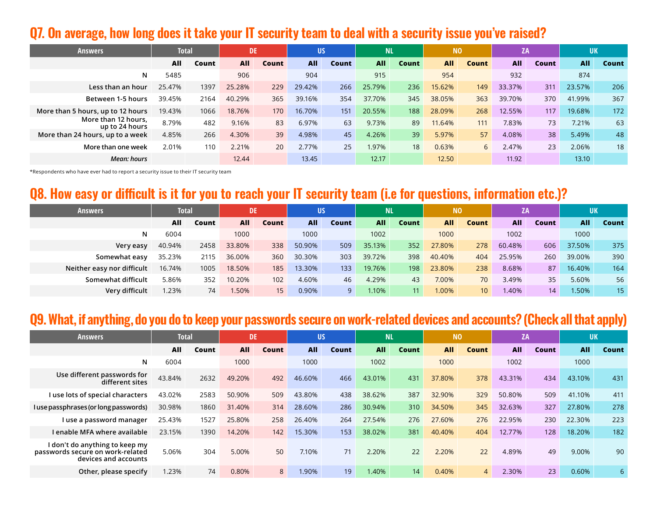#### **Q7. On average, how long does it take your IT security team to deal with a security issue you've raised?**

| <b>Answers</b>                        | <b>Total</b> |       | DE.        |       | <b>US</b>  |       | <b>NL</b>  |       | N <sub>0</sub> |              | ZA         |       | <b>UK</b>  |       |
|---------------------------------------|--------------|-------|------------|-------|------------|-------|------------|-------|----------------|--------------|------------|-------|------------|-------|
|                                       | All          | Count | <b>All</b> | Count | <b>All</b> | Count | <b>All</b> | Count | <b>All</b>     | <b>Count</b> | <b>All</b> | Count | <b>All</b> | Count |
| N                                     | 5485         |       | 906        |       | 904        |       | 915        |       | 954            |              | 932        |       | 874        |       |
| Less than an hour                     | 25.47%       | 1397  | 25.28%     | 229   | 29.42%     | 266   | 25.79%     | 236   | 15.62%         | 149          | 33.37%     | 311   | 23.57%     | 206   |
| Between 1-5 hours                     | 39.45%       | 2164  | 40.29%     | 365   | 39.16%     | 354   | 37.70%     | 345   | 38.05%         | 363          | 39.70%     | 370   | 41.99%     | 367   |
| More than 5 hours, up to 12 hours     | 19.43%       | 1066  | 18.76%     | 170   | 16.70%     | 151   | 20.55%     | 188   | 28.09%         | 268          | 12.55%     | 117   | 19.68%     | 172   |
| More than 12 hours.<br>up to 24 hours | 8.79%        | 482   | 9.16%      | 83    | 6.97%      | 63    | 9.73%      | 89    | 11.64%         | 111          | 7.83%      | 73    | 7.21%      | 63    |
| More than 24 hours, up to a week      | 4.85%        | 266   | 4.30%      | 39    | 4.98%      | 45    | 4.26%      | 39    | 5.97%          | 57           | 4.08%      | 38    | 5.49%      | 48    |
| More than one week                    | 2.01%        | 110   | 2.21%      | 20    | 2.77%      | 25    | 1.97%      | 18    | 0.63%          | 6            | 2.47%      | 23    | 2.06%      | 18    |
| Mean: hours                           |              |       | 12.44      |       | 13.45      |       | 12.17      |       | 12.50          |              | 11.92      |       | 13.10      |       |

\*Respondents who have ever had to report a security issue to their IT security team

# **Q8. How easy or difficult is it for you to reach your IT security team (i.e for questions, information etc.)?**

| <b>Answers</b>             | Total  |       | DE     |                 | US         |       | <b>NL</b>  |       | N <sub>0</sub> |       | ZA.    |       | <b>UK</b>  |       |
|----------------------------|--------|-------|--------|-----------------|------------|-------|------------|-------|----------------|-------|--------|-------|------------|-------|
|                            | All    | Count | AII    | Count           | <b>All</b> | Count | <b>All</b> | Count | <b>All</b>     | Count | All    | Count | <b>All</b> | Count |
| N                          | 6004   |       | 1000   |                 | 1000       |       | 1002       |       | 1000           |       | 1002   |       | 1000       |       |
| Very easy                  | 40.94% | 2458  | 33.80% | 338             | 50.90%     | 509   | 35.13%     | 352   | 27.80%         | 278   | 60.48% | 606   | 37.50%     | 375   |
| Somewhat easy              | 35.23% | 2115  | 36.00% | 360             | 30.30%     | 303   | 39.72%     | 398   | 40.40%         | 404   | 25.95% | 260   | 39.00%     | 390   |
| Neither easy nor difficult | 16.74% | 1005  | 18.50% | 185             | 13.30%     | 133   | 19.76%     | 198   | 23.80%         | 238   | 8.68%  | 87    | 16.40%     | 164   |
| Somewhat difficult         | 5.86%  | 352   | 10.20% | 102             | 4.60%      | 46    | 4.29%      | 43    | 7.00%          | 70    | 3.49%  | 35    | 5.60%      | 56    |
| Very difficult             | 1.23%  | 74    | 1.50%  | 15 <sup>2</sup> | 0.90%      | 9.    | 1.10%      | 11    | 1.00%          | 10    | 1.40%  | 14    | 1.50%      | 15    |

# **Q9. What, if anything, do you do to keep your passwords secure on work-related devices and accounts? (Check all that apply)**

| <b>Answers</b>                                                                             | <b>Total</b> |       | DE     |       | <b>US</b>  |       | <b>NL</b>  |       | <b>NO</b>  |                | ZA     |       | <b>UK</b>  |       |
|--------------------------------------------------------------------------------------------|--------------|-------|--------|-------|------------|-------|------------|-------|------------|----------------|--------|-------|------------|-------|
|                                                                                            | All          | Count | All    | Count | <b>All</b> | Count | <b>All</b> | Count | <b>All</b> | Count          | All    | Count | <b>All</b> | Count |
| N                                                                                          | 6004         |       | 1000   |       | 1000       |       | 1002       |       | 1000       |                | 1002   |       | 1000       |       |
| Use different passwords for<br>different sites                                             | 43.84%       | 2632  | 49.20% | 492   | 46.60%     | 466   | 43.01%     | 431   | 37.80%     | 378            | 43.31% | 434   | 43.10%     | 431   |
| I use lots of special characters                                                           | 43.02%       | 2583  | 50.90% | 509   | 43.80%     | 438   | 38.62%     | 387   | 32.90%     | 329            | 50.80% | 509   | 41.10%     | 411   |
| I use passphrases (or long passwords)                                                      | 30.98%       | 1860  | 31.40% | 314   | 28.60%     | 286   | 30.94%     | 310   | 34.50%     | 345            | 32.63% | 327   | 27.80%     | 278   |
| l use a password manager                                                                   | 25.43%       | 1527  | 25.80% | 258   | 26.40%     | 264   | 27.54%     | 276   | 27.60%     | 276            | 22.95% | 230   | 22.30%     | 223   |
| I enable MFA where available                                                               | 23.15%       | 1390  | 14.20% | 142   | 15.30%     | 153   | 38.02%     | 381   | 40.40%     | 404            | 12.77% | 128   | 18.20%     | 182   |
| I don't do anything to keep my<br>passwords secure on work-related<br>devices and accounts | 5.06%        | 304   | 5.00%  | 50    | 7.10%      | 71    | 2.20%      | 22    | 2.20%      | 22             | 4.89%  | 49    | 9.00%      | 90    |
| Other, please specify                                                                      | 1.23%        | 74    | 0.80%  | 8     | 1.90%      | 19    | .40%       | 14    | 0.40%      | $\overline{4}$ | 2.30%  | 23    | 0.60%      | 6     |